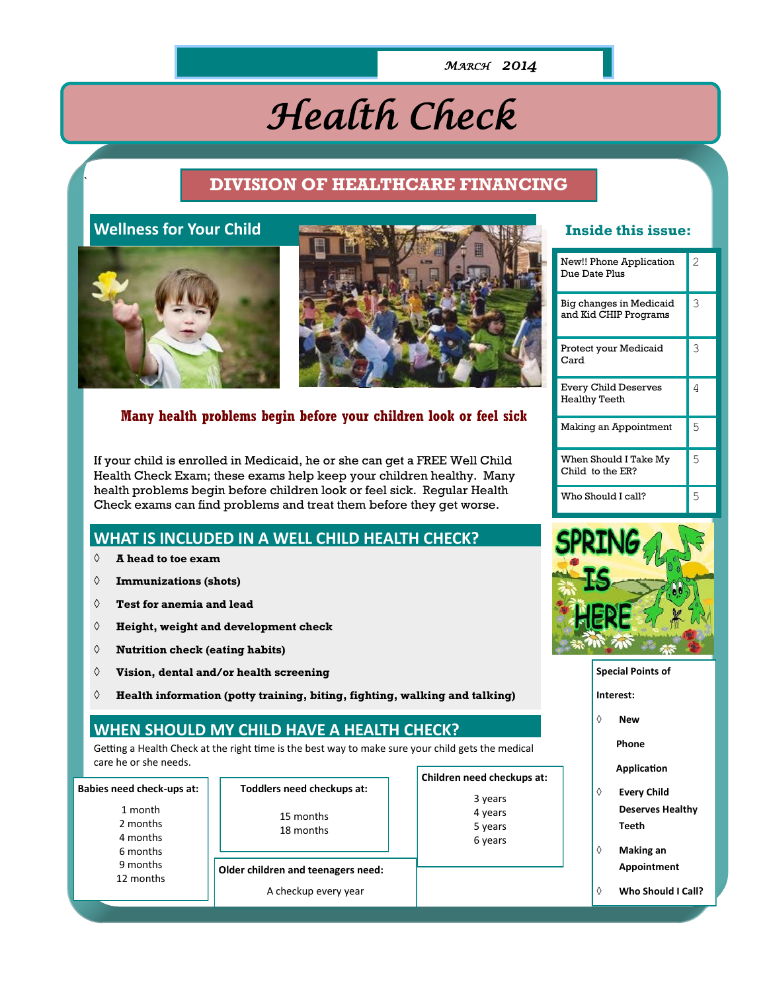#### *MARCH 2014*

# *Health Check*

## ` **DIVISION OF HEALTHCARE FINANCING**

## **Wellness for Your Child**





#### **Many health problems begin before your children look or feel sick**

If your child is enrolled in Medicaid, he or she can get a FREE Well Child Health Check Exam; these exams help keep your children healthy. Many health problems begin before children look or feel sick. Regular Health Check exams can find problems and treat them before they get worse.

#### **WHAT IS INCLUDED IN A WELL CHILD HEALTH CHECK?**

- **A head to toe exam**
- **Immunizations (shots)**
- **Test for anemia and lead**
- **Height, weight and development check**
- **Nutrition check (eating habits)**
- **Vision, dental and/or health screening**
- **Health information (potty training, biting, fighting, walking and talking)**

#### **WHEN SHOULD MY CHILD HAVE A HEALTH CHECK?**

Getting a Health Check at the right time is the best way to make sure your child gets the medical care he or she needs.

|                                                                      |                                                            | Children need checkups at:               |
|----------------------------------------------------------------------|------------------------------------------------------------|------------------------------------------|
| <b>Babies need check-ups at:</b>                                     | Toddlers need checkups at:                                 |                                          |
| 1 month<br>2 months<br>4 months<br>6 months<br>9 months<br>12 months | 15 months<br>18 months                                     | 3 years<br>4 years<br>5 years<br>6 years |
|                                                                      | Older children and teenagers need:<br>A checkup every year |                                          |
|                                                                      |                                                            |                                          |

#### **Inside this issue:**

| New!! Phone Application<br>Due Date Plus            | 2 |
|-----------------------------------------------------|---|
| Big changes in Medicaid<br>and Kid CHIP Programs    | 3 |
| Protect your Medicaid<br>Card                       | 3 |
| <b>Every Child Deserves</b><br><b>Healthy Teeth</b> | 4 |
| Making an Appointment                               | 5 |
| When Should I Take My<br>Child to the ER?           | 5 |
| Who Should Leall?                                   | 5 |



#### **Special Points of**

- **Interest:**
- **New** 
	- **Phone**

 **Application**

- **Every Child Deserves Healthy Teeth**
- **Making an Appointment**
- **Who Should I Call?**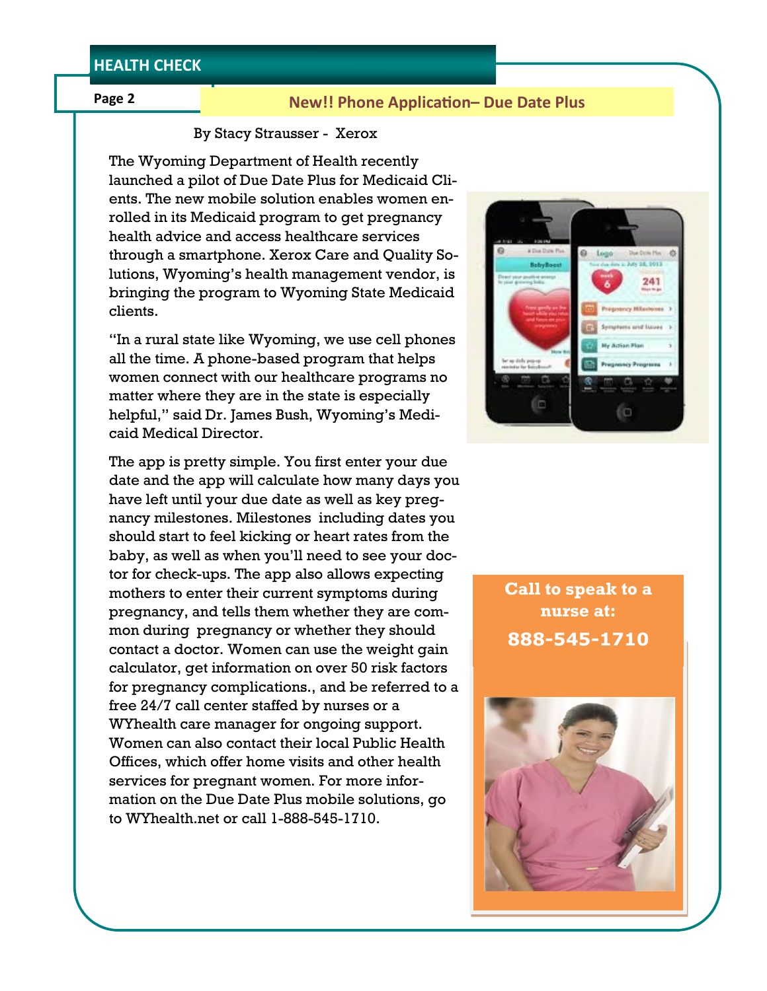#### **Page 2**

#### **New!! Phone Application– Due Date Plus**

#### By Stacy Strausser - Xerox

The Wyoming Department of Health recently launched a pilot of Due Date Plus for Medicaid Clients. The new mobile solution enables women enrolled in its Medicaid program to get pregnancy health advice and access healthcare services through a smartphone. Xerox Care and Quality Solutions, Wyoming's health management vendor, is bringing the program to Wyoming State Medicaid clients.

"In a rural state like Wyoming, we use cell phones all the time. A phone-based program that helps women connect with our healthcare programs no matter where they are in the state is especially helpful," said Dr. James Bush, Wyoming's Medicaid Medical Director.

The app is pretty simple. You first enter your due date and the app will calculate how many days you have left until your due date as well as key pregnancy milestones. Milestones including dates you should start to feel kicking or heart rates from the baby, as well as when you'll need to see your doctor for check-ups. The app also allows expecting mothers to enter their current symptoms during pregnancy, and tells them whether they are common during pregnancy or whether they should contact a doctor. Women can use the weight gain calculator, get information on over 50 risk factors for pregnancy complications., and be referred to a free 24/7 call center staffed by nurses or a WYhealth care manager for ongoing support. Women can also contact their local Public Health Offices, which offer home visits and other health services for pregnant women. For more information on the Due Date Plus mobile solutions, go to WYhealth.net or call 1-888-545-1710.



**Call to speak to a nurse at: 888-545-1710**

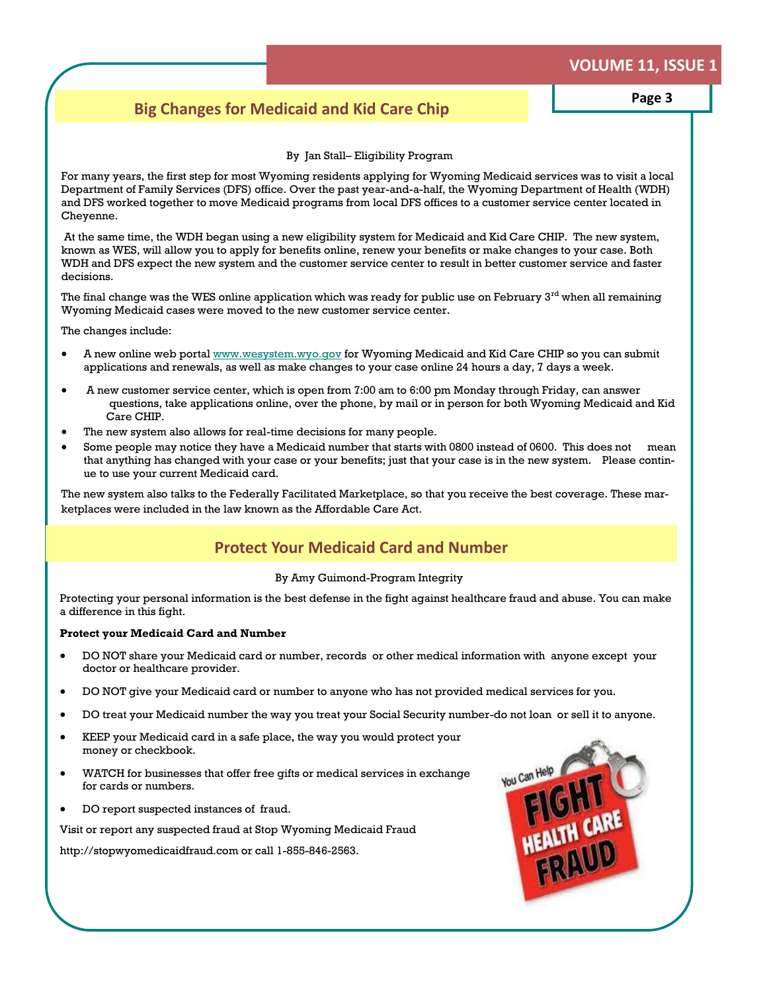## **VOLUME 11, ISSUE 1**

## **Big Changes for Medicaid and Kid Care Chip Page 3**

#### By Jan Stall– Eligibility Program

For many years, the first step for most Wyoming residents applying for Wyoming Medicaid services was to visit a local Department of Family Services (DFS) office. Over the past year-and-a-half, the Wyoming Department of Health (WDH) and DFS worked together to move Medicaid programs from local DFS offices to a customer service center located in Cheyenne.

 At the same time, the WDH began using a new eligibility system for Medicaid and Kid Care CHIP. The new system, known as WES, will allow you to apply for benefits online, renew your benefits or make changes to your case. Both WDH and DFS expect the new system and the customer service center to result in better customer service and faster decisions.

The final change was the WES online application which was ready for public use on February  $3^{rd}$  when all remaining Wyoming Medicaid cases were moved to the new customer service center.

The changes include:

- A new online web portal [www.wesystem.wyo.gov](http://www.wesystem.wyo.gov) for Wyoming Medicaid and Kid Care CHIP so you can submit applications and renewals, as well as make changes to your case online 24 hours a day, 7 days a week.
- A new customer service center, which is open from 7:00 am to 6:00 pm Monday through Friday, can answer questions, take applications online, over the phone, by mail or in person for both Wyoming Medicaid and Kid Care CHIP.
- The new system also allows for real-time decisions for many people.
- Some people may notice they have a Medicaid number that starts with 0800 instead of 0600. This does not mean that anything has changed with your case or your benefits; just that your case is in the new system. Please continue to use your current Medicaid card.

The new system also talks to the Federally Facilitated Marketplace, so that you receive the best coverage. These marketplaces were included in the law known as the Affordable Care Act.

## **Protect Your Medicaid Card and Number**

#### By Amy Guimond-Program Integrity

Protecting your personal information is the best defense in the fight against healthcare fraud and abuse. You can make a difference in this fight.

#### **Protect your Medicaid Card and Number**

- DO NOT share your Medicaid card or number, records or other medical information with anyone except your doctor or healthcare provider.
- DO NOT give your Medicaid card or number to anyone who has not provided medical services for you.
- DO treat your Medicaid number the way you treat your Social Security number-do not loan or sell it to anyone.
- KEEP your Medicaid card in a safe place, the way you would protect your money or checkbook.
- WATCH for businesses that offer free gifts or medical services in exchange for cards or numbers.
- DO report suspected instances of fraud.

Visit or report any suspected fraud at Stop Wyoming Medicaid Fraud

http://stopwyomedicaidfraud.com or call 1-855-846-2563.

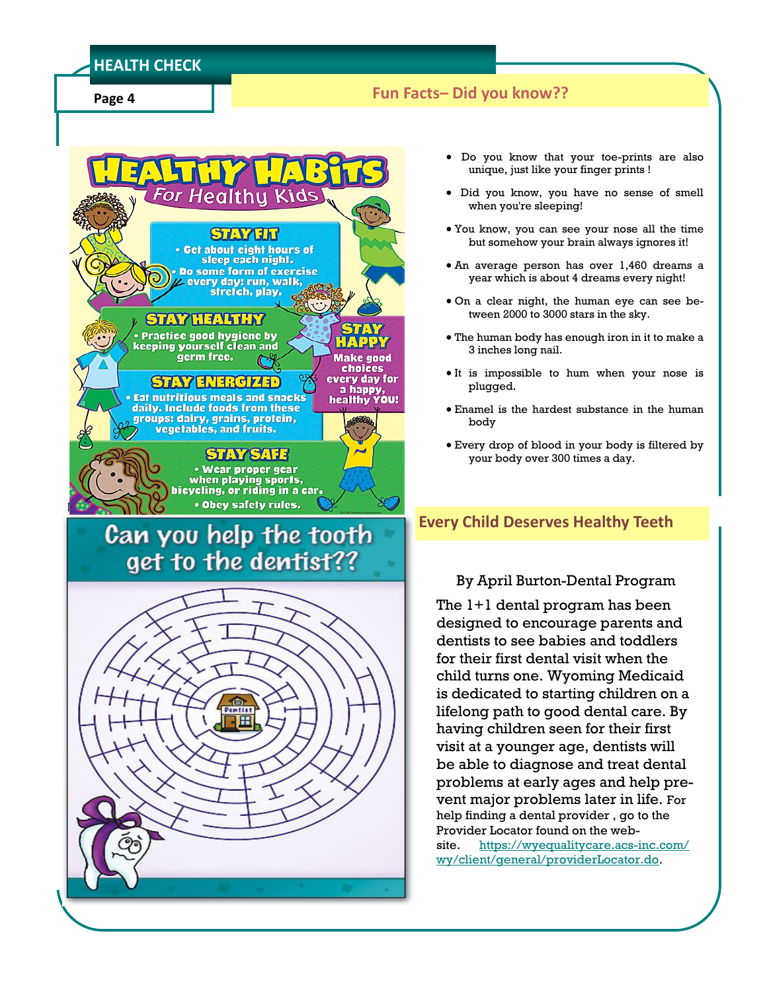#### **HEALTH CHECK**

**Page 4**

## **Fun Facts– Did you know??**



# Can you help the tooth get to the dentist??



- Do you know that your toe-prints are also unique, just like your finger prints !
- Did you know, you have no sense of smell when you're sleeping!
- You know, you can see your nose all the time but somehow your brain always ignores it!
- An average person has over 1,460 dreams a year which is about 4 dreams every night!
- On a clear night, the human eye can see between 2000 to 3000 stars in the sky.
- The human body has enough iron in it to make a 3 inches long nail.
- It is impossible to hum when your nose is plugged.
- Enamel is the hardest substance in the human body
- Every drop of blood in your body is filtered by your body over 300 times a day.

## **Every Child Deserves Healthy Teeth**

#### By April Burton-Dental Program

The 1+1 dental program has been designed to encourage parents and dentists to see babies and toddlers for their first dental visit when the child turns one. Wyoming Medicaid is dedicated to starting children on a lifelong path to good dental care. By having children seen for their first visit at a younger age, dentists will be able to diagnose and treat dental problems at early ages and help prevent major problems later in life. For help finding a dental provider , go to the Provider Locator found on the website. [https://wyequalitycare.acs-inc.com/](https://wyequalitycare.acs-inc.com/wy/client/general/providerLocator.do) [wy/client/general/providerLocator.do.](https://wyequalitycare.acs-inc.com/wy/client/general/providerLocator.do)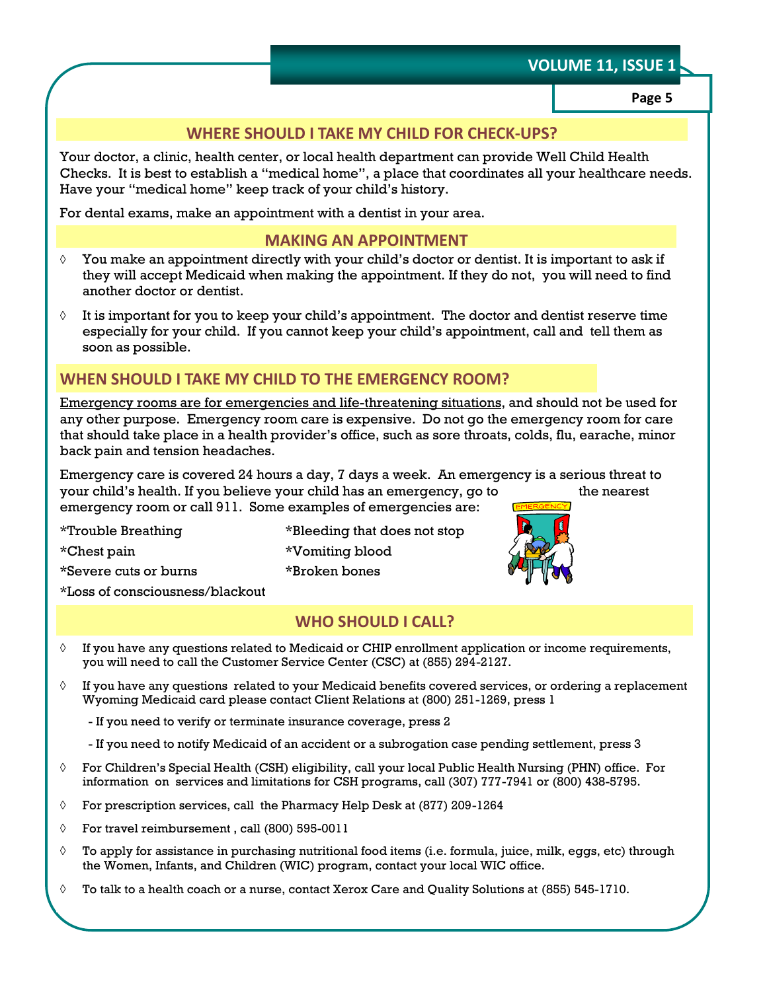## **VOLUME 11, ISSUE 1**

**Page 5**

#### **WHERE SHOULD I TAKE MY CHILD FOR CHECK-UPS?**

Your doctor, a clinic, health center, or local health department can provide Well Child Health Checks. It is best to establish a "medical home", a place that coordinates all your healthcare needs. Have your "medical home" keep track of your child's history.

For dental exams, make an appointment with a dentist in your area.

## **MAKING AN APPOINTMENT**

- $\Diamond$  You make an appointment directly with your child's doctor or dentist. It is important to ask if they will accept Medicaid when making the appointment. If they do not, you will need to find another doctor or dentist.
- It is important for you to keep your child's appointment. The doctor and dentist reserve time especially for your child. If you cannot keep your child's appointment, call and tell them as soon as possible.

## **WHEN SHOULD I TAKE MY CHILD TO THE EMERGENCY ROOM?**

Emergency rooms are for emergencies and life-threatening situations, and should not be used for any other purpose. Emergency room care is expensive. Do not go the emergency room for care that should take place in a health provider's office, such as sore throats, colds, flu, earache, minor back pain and tension headaches.

Emergency care is covered 24 hours a day, 7 days a week. An emergency is a serious threat to your child's health. If you believe your child has an emergency, go to the nearest emergency room or call 911. Some examples of emergencies are:

\*Chest pain \*Vomiting blood \*Severe cuts or burns \*Broken bones \*Loss of consciousness/blackout

\*Trouble Breathing \*Bleeding that does not stop



#### **WHO SHOULD I CALL?**

- $\Diamond$  If you have any questions related to Medicaid or CHIP enrollment application or income requirements, you will need to call the Customer Service Center (CSC) at (855) 294-2127.
- $\Diamond$  If you have any questions related to your Medicaid benefits covered services, or ordering a replacement Wyoming Medicaid card please contact Client Relations at (800) 251-1269, press 1
	- If you need to verify or terminate insurance coverage, press 2
	- If you need to notify Medicaid of an accident or a subrogation case pending settlement, press 3
- $\Diamond$  For Children's Special Health (CSH) eligibility, call your local Public Health Nursing (PHN) office. For information on services and limitations for CSH programs, call (307) 777-7941 or (800) 438-5795.
- For prescription services, call the Pharmacy Help Desk at (877) 209-1264
- $\Diamond$  For travel reimbursement, call (800) 595-0011
- $\Diamond$  To apply for assistance in purchasing nutritional food items (i.e. formula, juice, milk, eggs, etc) through the Women, Infants, and Children (WIC) program, contact your local WIC office.
- To talk to a health coach or a nurse, contact Xerox Care and Quality Solutions at (855) 545-1710.